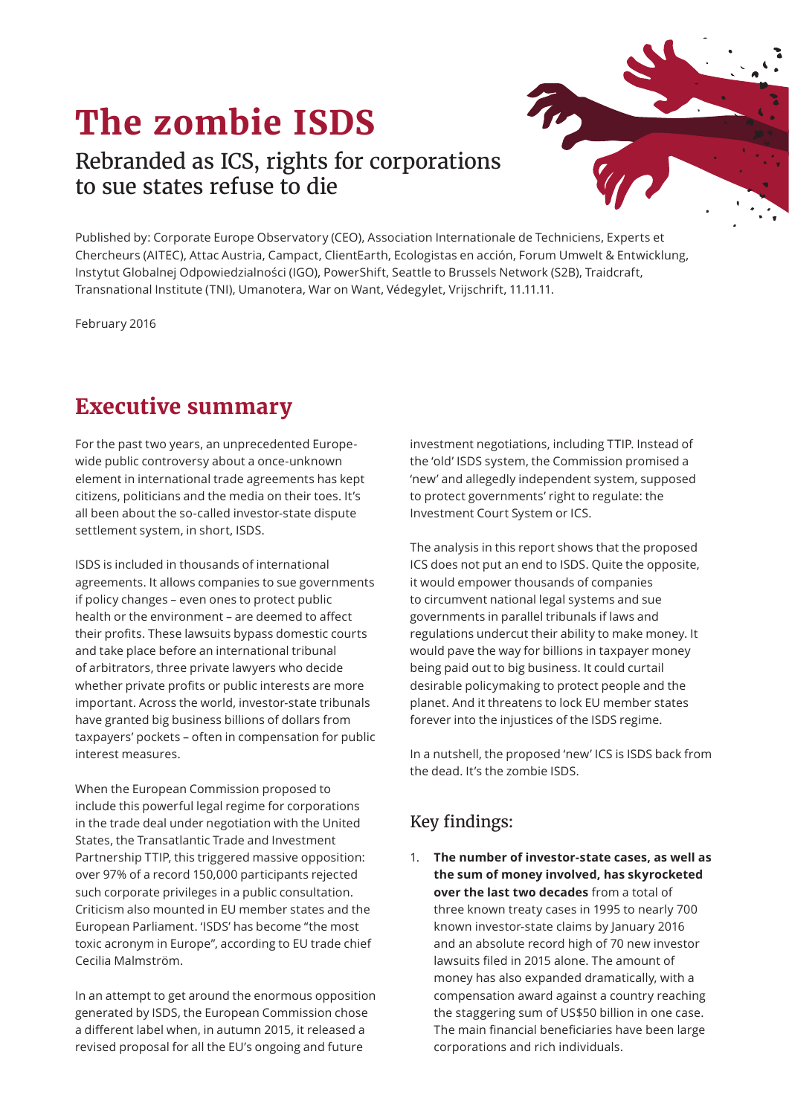## **The zombie ISDS**

## Rebranded as ICS, rights for corporations to sue states refuse to die

Published by: Corporate Europe Observatory (CEO), Association Internationale de Techniciens, Experts et Chercheurs (AITEC), Attac Austria, Campact, ClientEarth, Ecologistas en acción, Forum Umwelt & Entwicklung, Instytut Globalnej Odpowiedzialności (IGO), PowerShift, Seattle to Brussels Network (S2B), Traidcraft, Transnational Institute (TNI), Umanotera, War on Want, Védegylet, Vrijschrift, 11.11.11.

February 2016

## **Executive summary**

For the past two years, an unprecedented Europewide public controversy about a once-unknown element in international trade agreements has kept citizens, politicians and the media on their toes. It's all been about the so-called investor-state dispute settlement system, in short, ISDS.

ISDS is included in thousands of international agreements. It allows companies to sue governments if policy changes – even ones to protect public health or the environment – are deemed to affect their profits. These lawsuits bypass domestic courts and take place before an international tribunal of arbitrators, three private lawyers who decide whether private profits or public interests are more important. Across the world, investor-state tribunals have granted big business billions of dollars from taxpayers' pockets – often in compensation for public interest measures.

When the European Commission proposed to include this powerful legal regime for corporations in the trade deal under negotiation with the United States, the Transatlantic Trade and Investment Partnership TTIP, this triggered massive opposition: over 97% of a record 150,000 participants rejected such corporate privileges in a public consultation. Criticism also mounted in EU member states and the European Parliament. 'ISDS' has become "the most toxic acronym in Europe", according to EU trade chief Cecilia Malmström.

In an attempt to get around the enormous opposition generated by ISDS, the European Commission chose a different label when, in autumn 2015, it released a revised proposal for all the EU's ongoing and future

investment negotiations, including TTIP. Instead of the 'old' ISDS system, the Commission promised a 'new' and allegedly independent system, supposed to protect governments' right to regulate: the Investment Court System or ICS.

The analysis in this report shows that the proposed ICS does not put an end to ISDS. Quite the opposite, it would empower thousands of companies to circumvent national legal systems and sue governments in parallel tribunals if laws and regulations undercut their ability to make money. It would pave the way for billions in taxpayer money being paid out to big business. It could curtail desirable policymaking to protect people and the planet. And it threatens to lock EU member states forever into the injustices of the ISDS regime.

In a nutshell, the proposed 'new' ICS is ISDS back from the dead. It's the zombie ISDS.

## Key findings:

1. **The number of investor-state cases, as well as the sum of money involved, has skyrocketed over the last two decades** from a total of three known treaty cases in 1995 to nearly 700 known investor-state claims by January 2016 and an absolute record high of 70 new investor lawsuits filed in 2015 alone. The amount of money has also expanded dramatically, with a compensation award against a country reaching the staggering sum of US\$50 billion in one case. The main financial beneficiaries have been large corporations and rich individuals.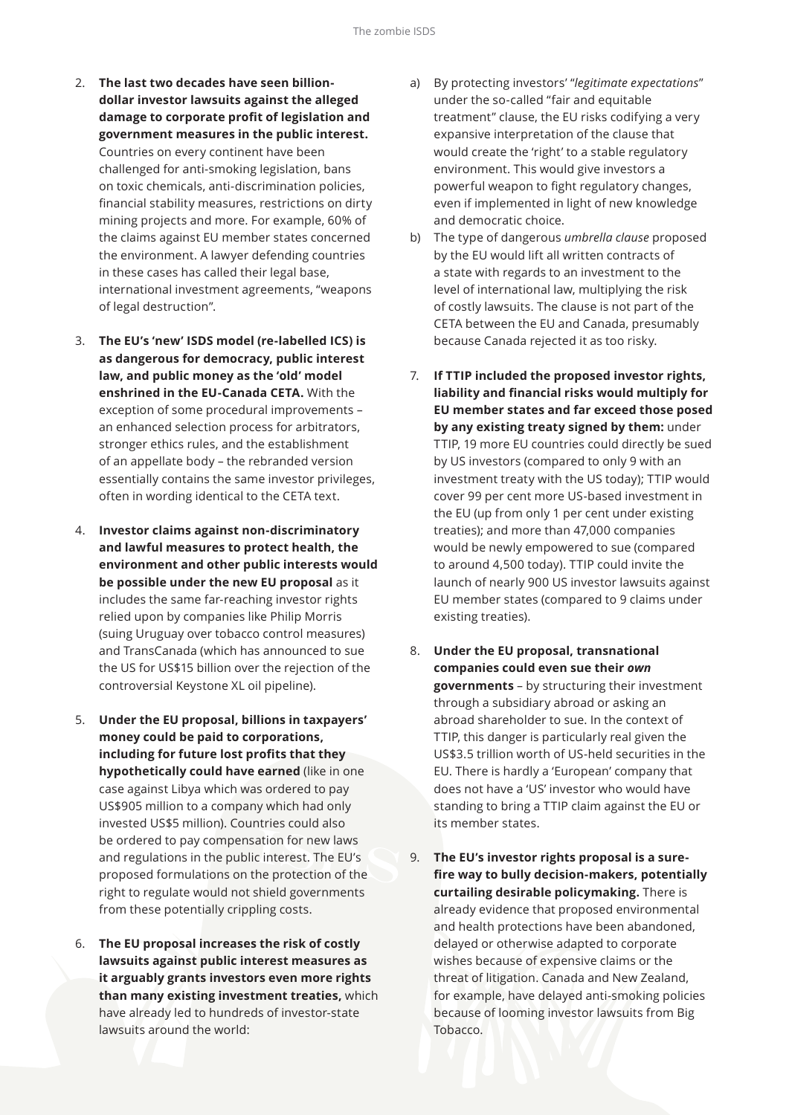- 2. **The last two decades have seen billiondollar investor lawsuits against the alleged damage to corporate profit of legislation and government measures in the public interest.** Countries on every continent have been challenged for anti-smoking legislation, bans on toxic chemicals, anti-discrimination policies, financial stability measures, restrictions on dirty mining projects and more. For example, 60% of the claims against EU member states concerned the environment. A lawyer defending countries in these cases has called their legal base, international investment agreements, "weapons of legal destruction".
- 3. **The EU's 'new' ISDS model (re-labelled ICS) is as dangerous for democracy, public interest law, and public money as the 'old' model enshrined in the EU-Canada CETA.** With the exception of some procedural improvements – an enhanced selection process for arbitrators, stronger ethics rules, and the establishment of an appellate body – the rebranded version essentially contains the same investor privileges, often in wording identical to the CETA text.
- 4. **Investor claims against non-discriminatory and lawful measures to protect health, the environment and other public interests would be possible under the new EU proposal** as it includes the same far-reaching investor rights relied upon by companies like Philip Morris (suing Uruguay over tobacco control measures) and TransCanada (which has announced to sue the US for US\$15 billion over the rejection of the controversial Keystone XL oil pipeline).
- 5. **Under the EU proposal, billions in taxpayers' money could be paid to corporations, including for future lost profits that they hypothetically could have earned** (like in one case against Libya which was ordered to pay US\$905 million to a company which had only invested US\$5 million). Countries could also be ordered to pay compensation for new laws and regulations in the public interest. The EU's proposed formulations on the protection of the right to regulate would not shield governments from these potentially crippling costs.
- 6. **The EU proposal increases the risk of costly lawsuits against public interest measures as it arguably grants investors even more rights than many existing investment treaties,** which have already led to hundreds of investor-state lawsuits around the world:
- a) By protecting investors' "*legitimate expectations*" under the so-called "fair and equitable treatment" clause, the EU risks codifying a very expansive interpretation of the clause that would create the 'right' to a stable regulatory environment. This would give investors a powerful weapon to fight regulatory changes, even if implemented in light of new knowledge and democratic choice.
- b) The type of dangerous *umbrella clause* proposed by the EU would lift all written contracts of a state with regards to an investment to the level of international law, multiplying the risk of costly lawsuits. The clause is not part of the CETA between the EU and Canada, presumably because Canada rejected it as too risky.
- 7. **If TTIP included the proposed investor rights, liability and financial risks would multiply for EU member states and far exceed those posed by any existing treaty signed by them:** under TTIP, 19 more EU countries could directly be sued by US investors (compared to only 9 with an investment treaty with the US today); TTIP would cover 99 per cent more US-based investment in the EU (up from only 1 per cent under existing treaties); and more than 47,000 companies would be newly empowered to sue (compared to around 4,500 today). TTIP could invite the launch of nearly 900 US investor lawsuits against EU member states (compared to 9 claims under existing treaties).
- 8. **Under the EU proposal, transnational companies could even sue their** *own* **governments** – by structuring their investment through a subsidiary abroad or asking an abroad shareholder to sue. In the context of TTIP, this danger is particularly real given the US\$3.5 trillion worth of US-held securities in the EU. There is hardly a 'European' company that does not have a 'US' investor who would have standing to bring a TTIP claim against the EU or its member states.
- 9. **The EU's investor rights proposal is a surefire way to bully decision-makers, potentially curtailing desirable policymaking.** There is already evidence that proposed environmental and health protections have been abandoned, delayed or otherwise adapted to corporate wishes because of expensive claims or the threat of litigation. Canada and New Zealand, for example, have delayed anti-smoking policies because of looming investor lawsuits from Big Tobacco.